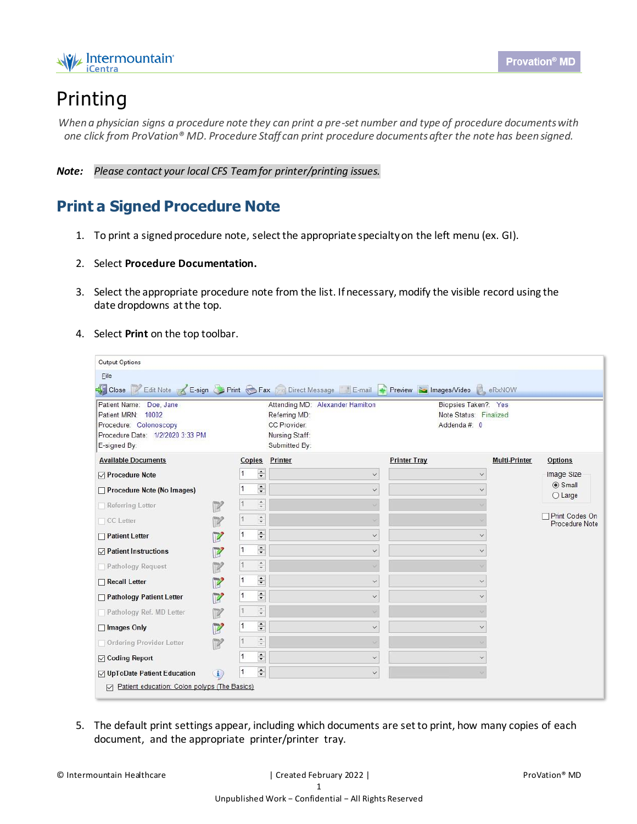

## Printing

*When a physician signs a procedure note they can print a pre-set number and type of procedure documents with one click from ProVation® MD. Procedure Staff can print procedure documents after the note has been signed.*

*Note: Please contact your local CFS Team for printer/printing issues.*

## **Print a Signed Procedure Note**

- 1. To print a signed procedure note, select the appropriate specialty on the left menu (ex. GI).
- 2. Select **Procedure Documentation.**
- 3. Select the appropriate procedure note from the list. If necessary, modify the visible record using the date dropdowns at the top.
- 4. Select **Print** on the top toolbar.

| Patient Name: Doe, Jane<br>Patient MRN: 10002<br>Procedure: Colonoscopy<br>Procedure Date: 1/2/2020 3:33 PM<br>E-signed By: |                            |              |                                          | Close 2 Edit Note 2 E-sign C Print C Fax Direct Message E-mail 4 Preview C Images/Video C eRxNOW<br>Attending MD: Alexander Hamilton<br>Referring MD:<br>CC Provider:<br>Nursing Staff:<br>Submitted By: | Biopsies Taken?: Yes<br>Note Status: Finalized<br>Addenda#: 0 |                      |                                  |
|-----------------------------------------------------------------------------------------------------------------------------|----------------------------|--------------|------------------------------------------|----------------------------------------------------------------------------------------------------------------------------------------------------------------------------------------------------------|---------------------------------------------------------------|----------------------|----------------------------------|
| <b>Available Documents</b>                                                                                                  |                            |              |                                          | Copies Printer                                                                                                                                                                                           | <b>Printer Tray</b>                                           | <b>Multi-Printer</b> | Options                          |
| <b>⊘</b> Procedure Note                                                                                                     |                            |              | $\div$                                   | $\checkmark$                                                                                                                                                                                             |                                                               |                      | Image Size                       |
| Procedure Note (No Images)                                                                                                  |                            |              | $\left  \frac{\bullet}{\bullet} \right $ |                                                                                                                                                                                                          |                                                               |                      | <b>◎</b> Small<br>$O$ Large      |
| Referring Letter                                                                                                            |                            | $\vert$ 1    | $\frac{a}{\pi}$                          |                                                                                                                                                                                                          |                                                               |                      |                                  |
| $\Box$ CC Letter                                                                                                            |                            |              | $\frac{1}{4}$                            |                                                                                                                                                                                                          |                                                               |                      | Print Codes On<br>Procedure Note |
| Patient Letter                                                                                                              |                            | 1            | $\div$                                   |                                                                                                                                                                                                          |                                                               |                      |                                  |
| <b><math>⊓</math></b> Patient Instructions                                                                                  | $\boldsymbol{v}$           | $\mathbf{1}$ | $\left  \frac{\bullet}{\bullet} \right $ | $\checkmark$                                                                                                                                                                                             |                                                               |                      |                                  |
| Pathology Request                                                                                                           | $\mathbb{Z}$               |              | $\frac{a}{\pi}$                          |                                                                                                                                                                                                          |                                                               |                      |                                  |
| Recall Letter                                                                                                               | $\mathbb{Z}$               | $\vert$ 1    | $\left  \bullet \right $                 |                                                                                                                                                                                                          |                                                               |                      |                                  |
| Pathology Patient Letter                                                                                                    | $\overline{z}$             | 1            | $\div$                                   | $\checkmark$                                                                                                                                                                                             | $\checkmark$                                                  |                      |                                  |
| Pathology Ref. MD Letter                                                                                                    |                            |              | $\hat{\phantom{a}}$                      |                                                                                                                                                                                                          |                                                               |                      |                                  |
| □ Images Only                                                                                                               | $\mathbb{Z}$               | 1            | $\left  \frac{\bullet}{\bullet} \right $ |                                                                                                                                                                                                          |                                                               |                      |                                  |
| Ordering Provider Letter                                                                                                    | $\mathbb{Z}$               |              | $\frac{a}{\pi}$                          |                                                                                                                                                                                                          |                                                               |                      |                                  |
| <b>□</b> Coding Report                                                                                                      |                            |              | $\div$                                   |                                                                                                                                                                                                          |                                                               |                      |                                  |
| ○ UpToDate Patient Education                                                                                                | $\left( \mathbf{I}\right)$ |              | $\left  \frac{\bullet}{\bullet} \right $ |                                                                                                                                                                                                          |                                                               |                      |                                  |

5. The default print settings appear, including which documents are set to print, how many copies of each document, and the appropriate printer/printer tray.